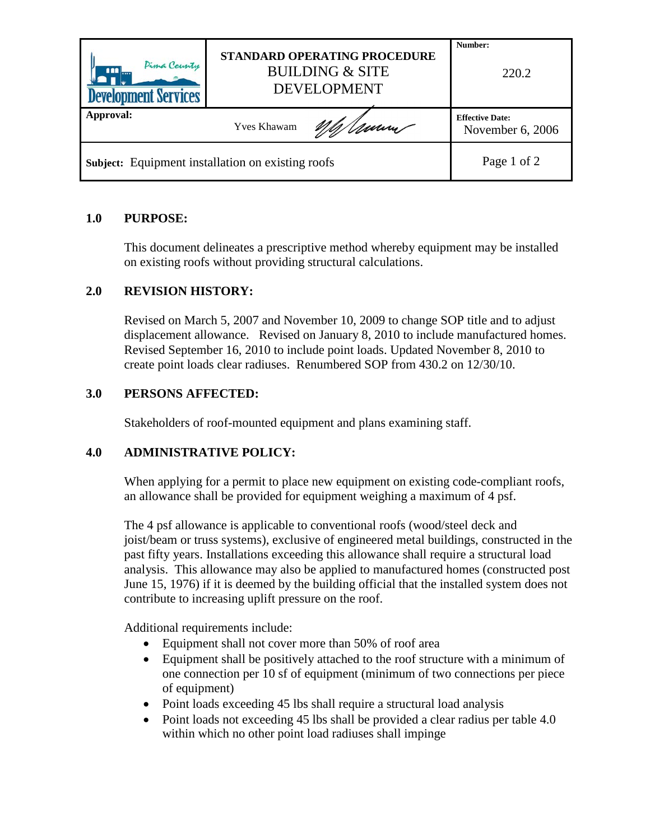| Pima County<br>m<br><b>Development Services</b>          | STANDARD OPERATING PROCEDURE<br><b>BUILDING &amp; SITE</b><br><b>DEVELOPMENT</b> | Number:<br>220.2                           |
|----------------------------------------------------------|----------------------------------------------------------------------------------|--------------------------------------------|
| Approval:                                                | <b>Yves Khawam</b>                                                               | <b>Effective Date:</b><br>November 6, 2006 |
| <b>Subject:</b> Equipment installation on existing roofs | Page 1 of 2                                                                      |                                            |

# **1.0 PURPOSE:**

This document delineates a prescriptive method whereby equipment may be installed on existing roofs without providing structural calculations.

# **2.0 REVISION HISTORY:**

Revised on March 5, 2007 and November 10, 2009 to change SOP title and to adjust displacement allowance. Revised on January 8, 2010 to include manufactured homes. Revised September 16, 2010 to include point loads. Updated November 8, 2010 to create point loads clear radiuses. Renumbered SOP from 430.2 on 12/30/10.

# **3.0 PERSONS AFFECTED:**

Stakeholders of roof-mounted equipment and plans examining staff.

# **4.0 ADMINISTRATIVE POLICY:**

When applying for a permit to place new equipment on existing code-compliant roofs, an allowance shall be provided for equipment weighing a maximum of 4 psf.

The 4 psf allowance is applicable to conventional roofs (wood/steel deck and joist/beam or truss systems), exclusive of engineered metal buildings, constructed in the past fifty years. Installations exceeding this allowance shall require a structural load analysis. This allowance may also be applied to manufactured homes (constructed post June 15, 1976) if it is deemed by the building official that the installed system does not contribute to increasing uplift pressure on the roof.

Additional requirements include:

- Equipment shall not cover more than 50% of roof area
- Equipment shall be positively attached to the roof structure with a minimum of one connection per 10 sf of equipment (minimum of two connections per piece of equipment)
- Point loads exceeding 45 lbs shall require a structural load analysis
- Point loads not exceeding 45 lbs shall be provided a clear radius per table 4.0 within which no other point load radiuses shall impinge